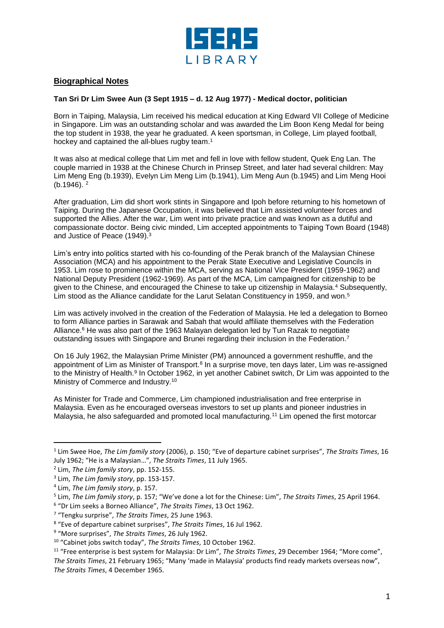

## **Biographical Notes**

## **Tan Sri Dr Lim Swee Aun (3 Sept 1915 – d. 12 Aug 1977) - Medical doctor, politician**

Born in Taiping, Malaysia, Lim received his medical education at King Edward VII College of Medicine in Singapore. Lim was an outstanding scholar and was awarded the Lim Boon Keng Medal for being the top student in 1938, the year he graduated. A keen sportsman, in College, Lim played football, hockey and captained the all-blues rugby team. 1

It was also at medical college that Lim met and fell in love with fellow student, Quek Eng Lan. The couple married in 1938 at the Chinese Church in Prinsep Street, and later had several children: May Lim Meng Eng (b.1939), Evelyn Lim Meng Lim (b.1941), Lim Meng Aun (b.1945) and Lim Meng Hooi  $(b.1946)$ <sup>2</sup>

After graduation, Lim did short work stints in Singapore and Ipoh before returning to his hometown of Taiping. During the Japanese Occupation, it was believed that Lim assisted volunteer forces and supported the Allies. After the war, Lim went into private practice and was known as a dutiful and compassionate doctor. Being civic minded, Lim accepted appointments to Taiping Town Board (1948) and Justice of Peace (1949). 3

Lim's entry into politics started with his co-founding of the Perak branch of the Malaysian Chinese Association (MCA) and his appointment to the Perak State Executive and Legislative Councils in 1953. Lim rose to prominence within the MCA, serving as National Vice President (1959-1962) and National Deputy President (1962-1969). As part of the MCA, Lim campaigned for citizenship to be given to the Chinese, and encouraged the Chinese to take up citizenship in Malaysia.<sup>4</sup> Subsequently, Lim stood as the Alliance candidate for the Larut Selatan Constituency in 1959, and won. 5

Lim was actively involved in the creation of the Federation of Malaysia. He led a delegation to Borneo to form Alliance parties in Sarawak and Sabah that would affiliate themselves with the Federation Alliance.<sup>6</sup> He was also part of the 1963 Malayan delegation led by Tun Razak to negotiate outstanding issues with Singapore and Brunei regarding their inclusion in the Federation.<sup>7</sup>

On 16 July 1962, the Malaysian Prime Minister (PM) announced a government reshuffle, and the appointment of Lim as Minister of Transport.<sup>8</sup> In a surprise move, ten days later, Lim was re-assigned to the Ministry of Health.<sup>9</sup> In October 1962, in yet another Cabinet switch, Dr Lim was appointed to the Ministry of Commerce and Industry.<sup>10</sup>

As Minister for Trade and Commerce, Lim championed industrialisation and free enterprise in Malaysia. Even as he encouraged overseas investors to set up plants and pioneer industries in Malaysia, he also safeguarded and promoted local manufacturing.<sup>11</sup> Lim opened the first motorcar

l

<sup>1</sup> Lim Swee Hoe, *The Lim family story* (2006), p. 150; "Eve of departure cabinet surprises", *The Straits Times*, 16 July 1962; "He is a Malaysian…", *The Straits Times*, 11 July 1965.

<sup>2</sup> Lim, *The Lim family story*, pp. 152-155.

<sup>3</sup> Lim, *The Lim family story*, pp. 153-157.

<sup>4</sup> Lim, *The Lim family story*, p. 157.

<sup>5</sup> Lim, *The Lim family story*, p. 157; "We've done a lot for the Chinese: Lim", *The Straits Times*, 25 April 1964.

<sup>6</sup> "Dr Lim seeks a Borneo Alliance", *The Straits Times*, 13 Oct 1962.

<sup>7</sup> "Tengku surprise", *The Straits Times*, 25 June 1963.

<sup>8</sup> "Eve of departure cabinet surprises", *The Straits Times*, 16 Jul 1962.

<sup>9</sup> "More surprises", *The Straits Times*, 26 July 1962.

<sup>10</sup> "Cabinet jobs switch today", *The Straits Times*, 10 October 1962.

<sup>11</sup> "Free enterprise is best system for Malaysia: Dr Lim", *The Straits Times*, 29 December 1964; "More come", *The Straits Times*, 21 February 1965; "Many 'made in Malaysia' products find ready markets overseas now", *The Straits Times*, 4 December 1965.